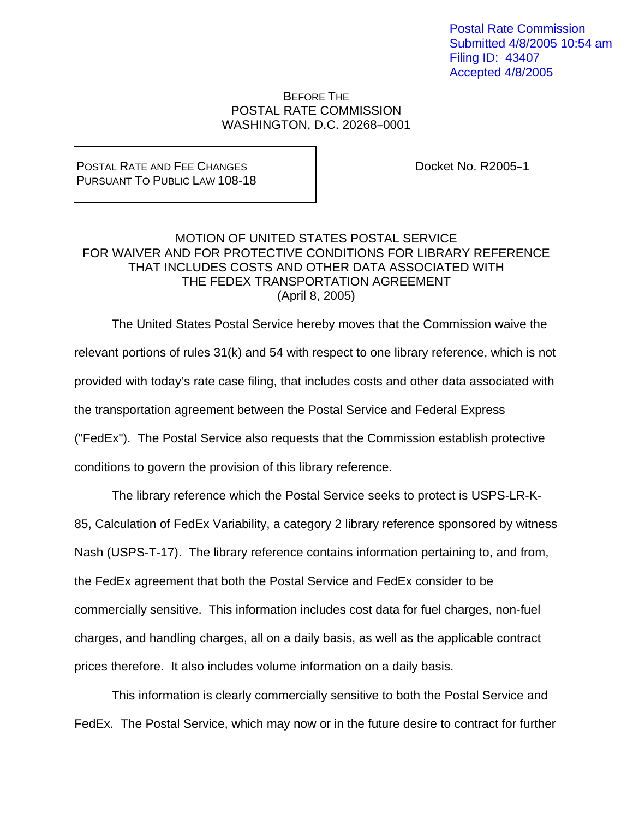Postal Rate Commission Submitted 4/8/2005 10:54 am Filing ID: 43407 Accepted 4/8/2005

#### BEFORE THE POSTAL RATE COMMISSION WASHINGTON, D.C. 20268-0001

#### POSTAL RATE AND FEE CHANGES PURSUANT TO PUBLIC LAW 108-18

Docket No. R2005-1

### MOTION OF UNITED STATES POSTAL SERVICE FOR WAIVER AND FOR PROTECTIVE CONDITIONS FOR LIBRARY REFERENCE THAT INCLUDES COSTS AND OTHER DATA ASSOCIATED WITH THE FEDEX TRANSPORTATION AGREEMENT (April 8, 2005)

 The United States Postal Service hereby moves that the Commission waive the relevant portions of rules 31(k) and 54 with respect to one library reference, which is not provided with today's rate case filing, that includes costs and other data associated with the transportation agreement between the Postal Service and Federal Express ("FedEx"). The Postal Service also requests that the Commission establish protective conditions to govern the provision of this library reference.

 The library reference which the Postal Service seeks to protect is USPS-LR-K-85, Calculation of FedEx Variability, a category 2 library reference sponsored by witness Nash (USPS-T-17). The library reference contains information pertaining to, and from, the FedEx agreement that both the Postal Service and FedEx consider to be commercially sensitive. This information includes cost data for fuel charges, non-fuel charges, and handling charges, all on a daily basis, as well as the applicable contract prices therefore. It also includes volume information on a daily basis.

This information is clearly commercially sensitive to both the Postal Service and FedEx. The Postal Service, which may now or in the future desire to contract for further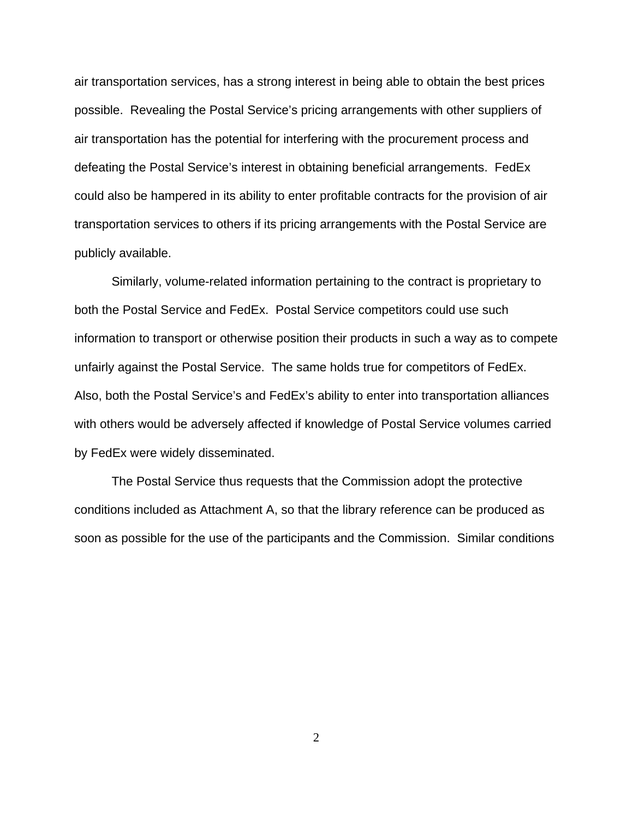air transportation services, has a strong interest in being able to obtain the best prices possible. Revealing the Postal Service's pricing arrangements with other suppliers of air transportation has the potential for interfering with the procurement process and defeating the Postal Service's interest in obtaining beneficial arrangements. FedEx could also be hampered in its ability to enter profitable contracts for the provision of air transportation services to others if its pricing arrangements with the Postal Service are publicly available.

 Similarly, volume-related information pertaining to the contract is proprietary to both the Postal Service and FedEx. Postal Service competitors could use such information to transport or otherwise position their products in such a way as to compete unfairly against the Postal Service. The same holds true for competitors of FedEx. Also, both the Postal Service's and FedEx's ability to enter into transportation alliances with others would be adversely affected if knowledge of Postal Service volumes carried by FedEx were widely disseminated.

 The Postal Service thus requests that the Commission adopt the protective conditions included as Attachment A, so that the library reference can be produced as soon as possible for the use of the participants and the Commission. Similar conditions

2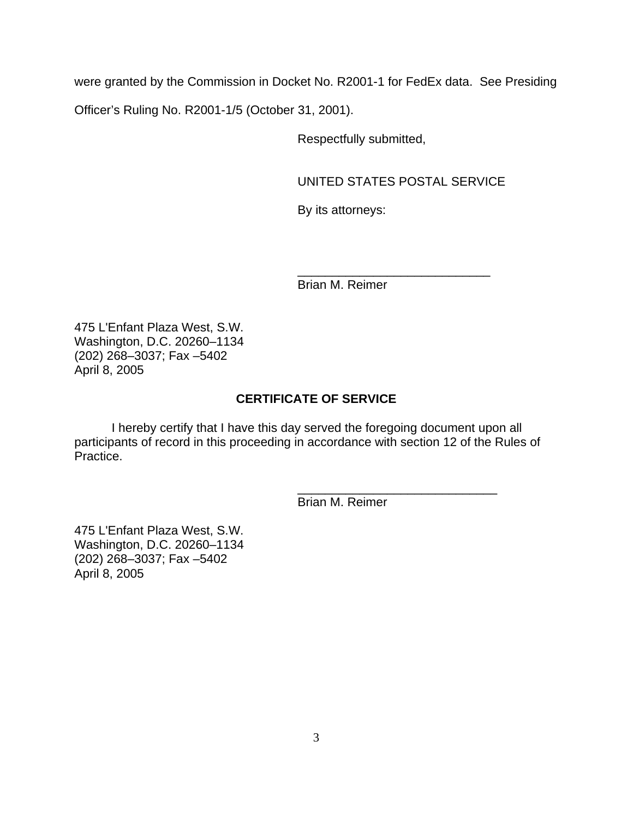were granted by the Commission in Docket No. R2001-1 for FedEx data. See Presiding

Officer's Ruling No. R2001-1/5 (October 31, 2001).

Respectfully submitted,

UNITED STATES POSTAL SERVICE

By its attorneys:

 $\frac{1}{\sqrt{2}}$  ,  $\frac{1}{\sqrt{2}}$  ,  $\frac{1}{\sqrt{2}}$  ,  $\frac{1}{\sqrt{2}}$  ,  $\frac{1}{\sqrt{2}}$  ,  $\frac{1}{\sqrt{2}}$  ,  $\frac{1}{\sqrt{2}}$  ,  $\frac{1}{\sqrt{2}}$  ,  $\frac{1}{\sqrt{2}}$  ,  $\frac{1}{\sqrt{2}}$  ,  $\frac{1}{\sqrt{2}}$  ,  $\frac{1}{\sqrt{2}}$  ,  $\frac{1}{\sqrt{2}}$  ,  $\frac{1}{\sqrt{2}}$  ,  $\frac{1}{\sqrt{2}}$ Brian M. Reimer

475 L'Enfant Plaza West, S.W. Washington, D.C. 20260–1134 (202) 268–3037; Fax –5402 April 8, 2005

## **CERTIFICATE OF SERVICE**

 I hereby certify that I have this day served the foregoing document upon all participants of record in this proceeding in accordance with section 12 of the Rules of Practice.

 $\frac{1}{\sqrt{2\pi}}$  ,  $\frac{1}{\sqrt{2\pi}}$  ,  $\frac{1}{\sqrt{2\pi}}$  ,  $\frac{1}{\sqrt{2\pi}}$  ,  $\frac{1}{\sqrt{2\pi}}$  ,  $\frac{1}{\sqrt{2\pi}}$  ,  $\frac{1}{\sqrt{2\pi}}$  ,  $\frac{1}{\sqrt{2\pi}}$  ,  $\frac{1}{\sqrt{2\pi}}$  ,  $\frac{1}{\sqrt{2\pi}}$  ,  $\frac{1}{\sqrt{2\pi}}$  ,  $\frac{1}{\sqrt{2\pi}}$  ,  $\frac{1}{\sqrt{2\pi}}$  ,

Brian M. Reimer

475 L'Enfant Plaza West, S.W. Washington, D.C. 20260–1134 (202) 268–3037; Fax –5402 April 8, 2005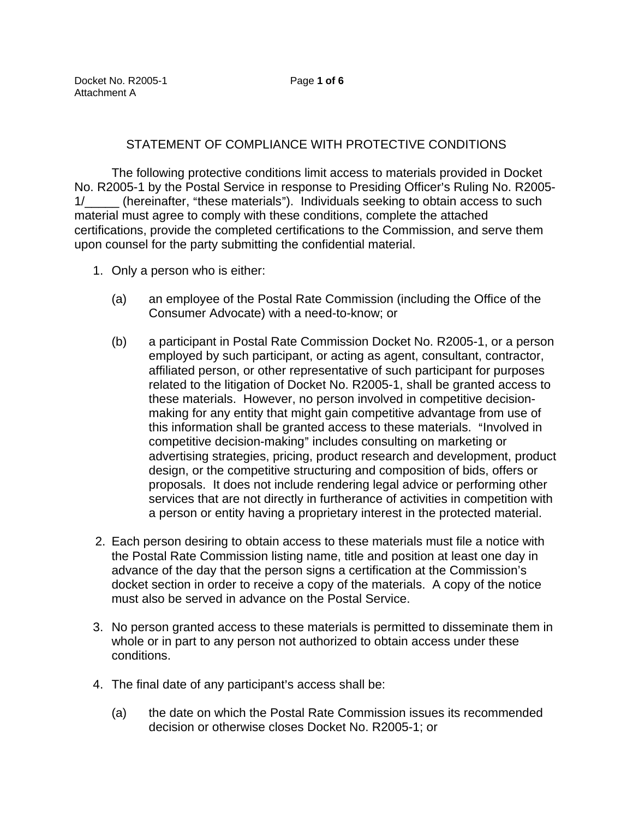# STATEMENT OF COMPLIANCE WITH PROTECTIVE CONDITIONS

The following protective conditions limit access to materials provided in Docket No. R2005-1 by the Postal Service in response to Presiding Officer's Ruling No. R2005-1/ (hereinafter, "these materials"). Individuals seeking to obtain access to such material must agree to comply with these conditions, complete the attached certifications, provide the completed certifications to the Commission, and serve them upon counsel for the party submitting the confidential material.

- 1. Only a person who is either:
	- (a) an employee of the Postal Rate Commission (including the Office of the Consumer Advocate) with a need-to-know; or
	- (b) a participant in Postal Rate Commission Docket No. R2005-1, or a person employed by such participant, or acting as agent, consultant, contractor, affiliated person, or other representative of such participant for purposes related to the litigation of Docket No. R2005-1, shall be granted access to these materials. However, no person involved in competitive decisionmaking for any entity that might gain competitive advantage from use of this information shall be granted access to these materials. "Involved in competitive decision-making" includes consulting on marketing or advertising strategies, pricing, product research and development, product design, or the competitive structuring and composition of bids, offers or proposals. It does not include rendering legal advice or performing other services that are not directly in furtherance of activities in competition with a person or entity having a proprietary interest in the protected material.
- 2. Each person desiring to obtain access to these materials must file a notice with the Postal Rate Commission listing name, title and position at least one day in advance of the day that the person signs a certification at the Commission's docket section in order to receive a copy of the materials. A copy of the notice must also be served in advance on the Postal Service.
- 3. No person granted access to these materials is permitted to disseminate them in whole or in part to any person not authorized to obtain access under these conditions.
- 4. The final date of any participant's access shall be:
	- (a) the date on which the Postal Rate Commission issues its recommended decision or otherwise closes Docket No. R2005-1; or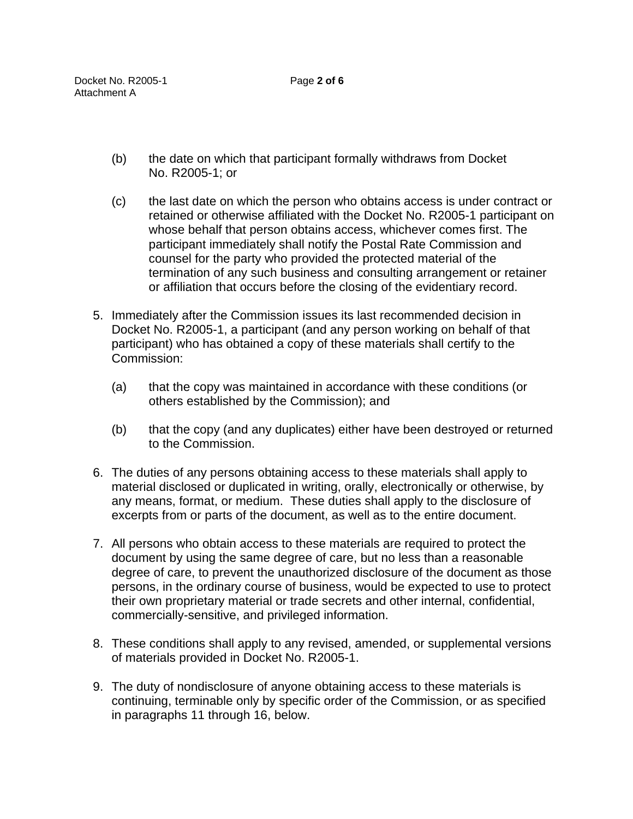- (b) the date on which that participant formally withdraws from Docket No. R2005-1; or
- (c) the last date on which the person who obtains access is under contract or retained or otherwise affiliated with the Docket No. R2005-1 participant on whose behalf that person obtains access, whichever comes first. The participant immediately shall notify the Postal Rate Commission and counsel for the party who provided the protected material of the termination of any such business and consulting arrangement or retainer or affiliation that occurs before the closing of the evidentiary record.
- 5. Immediately after the Commission issues its last recommended decision in Docket No. R2005-1, a participant (and any person working on behalf of that participant) who has obtained a copy of these materials shall certify to the Commission:
	- (a) that the copy was maintained in accordance with these conditions (or others established by the Commission); and
	- (b) that the copy (and any duplicates) either have been destroyed or returned to the Commission.
- 6. The duties of any persons obtaining access to these materials shall apply to material disclosed or duplicated in writing, orally, electronically or otherwise, by any means, format, or medium. These duties shall apply to the disclosure of excerpts from or parts of the document, as well as to the entire document.
- 7. All persons who obtain access to these materials are required to protect the document by using the same degree of care, but no less than a reasonable degree of care, to prevent the unauthorized disclosure of the document as those persons, in the ordinary course of business, would be expected to use to protect their own proprietary material or trade secrets and other internal, confidential, commercially-sensitive, and privileged information.
- 8. These conditions shall apply to any revised, amended, or supplemental versions of materials provided in Docket No. R2005-1.
- 9. The duty of nondisclosure of anyone obtaining access to these materials is continuing, terminable only by specific order of the Commission, or as specified in paragraphs 11 through 16, below.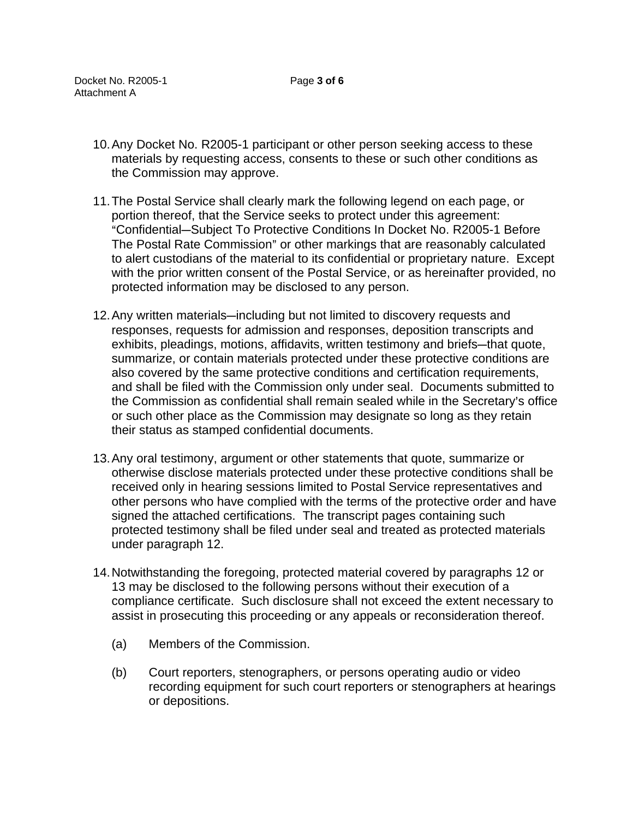- 10. Any Docket No. R2005-1 participant or other person seeking access to these materials by requesting access, consents to these or such other conditions as the Commission may approve.
- 11. The Postal Service shall clearly mark the following legend on each page, or portion thereof, that the Service seeks to protect under this agreement: "Confidential-Subject To Protective Conditions In Docket No. R2005-1 Before The Postal Rate Commission" or other markings that are reasonably calculated to alert custodians of the material to its confidential or proprietary nature. Except with the prior written consent of the Postal Service, or as hereinafter provided, no protected information may be disclosed to any person.
- 12. Any written materials—including but not limited to discovery requests and responses, requests for admission and responses, deposition transcripts and exhibits, pleadings, motions, affidavits, written testimony and briefs-that quote, summarize, or contain materials protected under these protective conditions are also covered by the same protective conditions and certification requirements, and shall be filed with the Commission only under seal. Documents submitted to the Commission as confidential shall remain sealed while in the Secretary's office or such other place as the Commission may designate so long as they retain their status as stamped confidential documents.
- 13. Any oral testimony, argument or other statements that quote, summarize or otherwise disclose materials protected under these protective conditions shall be received only in hearing sessions limited to Postal Service representatives and other persons who have complied with the terms of the protective order and have signed the attached certifications. The transcript pages containing such protected testimony shall be filed under seal and treated as protected materials under paragraph 12.
- 14. Notwithstanding the foregoing, protected material covered by paragraphs 12 or 13 may be disclosed to the following persons without their execution of a compliance certificate. Such disclosure shall not exceed the extent necessary to assist in prosecuting this proceeding or any appeals or reconsideration thereof.
	- (a) Members of the Commission.
	- (b) Court reporters, stenographers, or persons operating audio or video recording equipment for such court reporters or stenographers at hearings or depositions.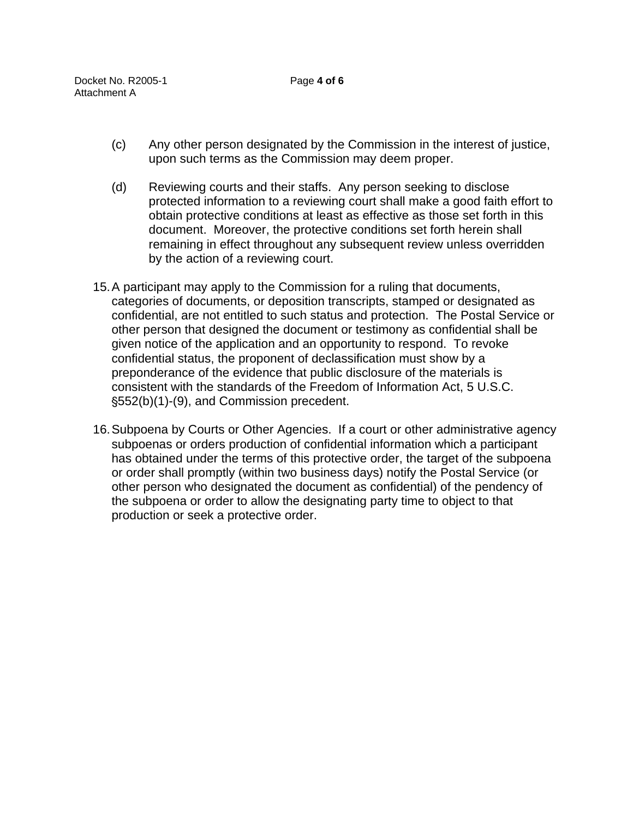- (c) Any other person designated by the Commission in the interest of justice, upon such terms as the Commission may deem proper.
- (d) Reviewing courts and their staffs. Any person seeking to disclose protected information to a reviewing court shall make a good faith effort to obtain protective conditions at least as effective as those set forth in this document. Moreover, the protective conditions set forth herein shall remaining in effect throughout any subsequent review unless overridden by the action of a reviewing court.
- 15. A participant may apply to the Commission for a ruling that documents, categories of documents, or deposition transcripts, stamped or designated as confidential, are not entitled to such status and protection. The Postal Service or other person that designed the document or testimony as confidential shall be given notice of the application and an opportunity to respond. To revoke confidential status, the proponent of declassification must show by a preponderance of the evidence that public disclosure of the materials is consistent with the standards of the Freedom of Information Act, 5 U.S.C. '552(b)(1)-(9), and Commission precedent.
- 16. Subpoena by Courts or Other Agencies. If a court or other administrative agency subpoenas or orders production of confidential information which a participant has obtained under the terms of this protective order, the target of the subpoena or order shall promptly (within two business days) notify the Postal Service (or other person who designated the document as confidential) of the pendency of the subpoena or order to allow the designating party time to object to that production or seek a protective order.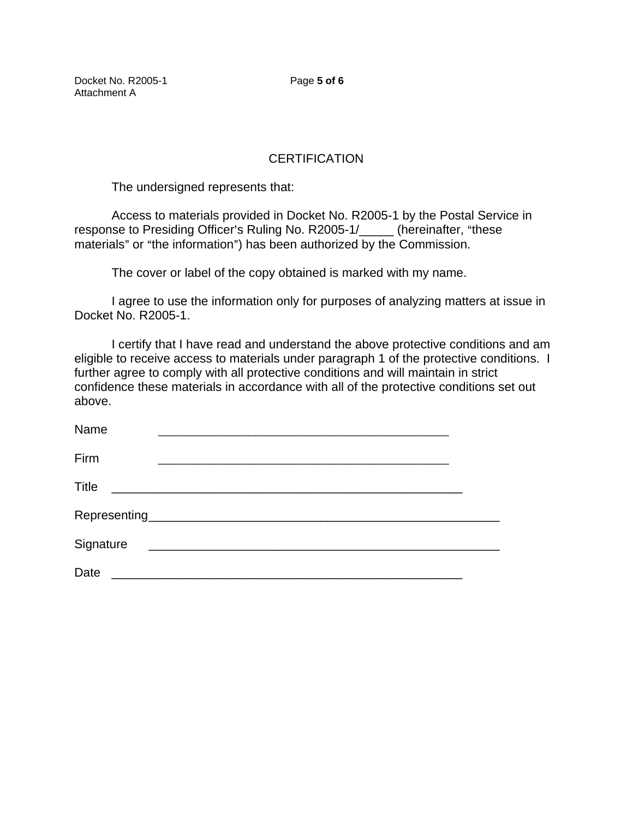Docket No. R2005-1 Page **5 of 6** Attachment A

## **CERTIFICATION**

The undersigned represents that:

Access to materials provided in Docket No. R2005-1 by the Postal Service in response to Presiding Officer's Ruling No. R2005-1/\_\_\_\_\_ (hereinafter, "these materials" or "the information") has been authorized by the Commission.

The cover or label of the copy obtained is marked with my name.

I agree to use the information only for purposes of analyzing matters at issue in Docket No. R2005-1.

I certify that I have read and understand the above protective conditions and am eligible to receive access to materials under paragraph 1 of the protective conditions. I further agree to comply with all protective conditions and will maintain in strict confidence these materials in accordance with all of the protective conditions set out above.

| Name<br>and the state of the state of the state of the state of the state of the state of the state of the state of the |  |
|-------------------------------------------------------------------------------------------------------------------------|--|
| Firm                                                                                                                    |  |
| <b>Title</b>                                                                                                            |  |
|                                                                                                                         |  |
| Signature                                                                                                               |  |
| Date<br><u> 1980 - Andrea Andrew Maria (h. 1980).</u>                                                                   |  |